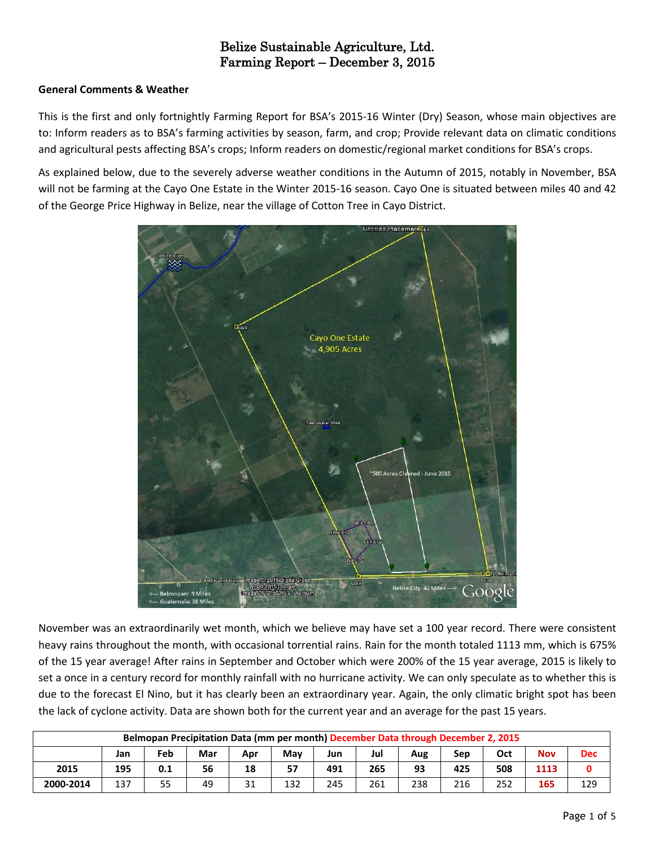# Belize Sustainable Agriculture, Ltd. Farming Report – December 3, 2015

# **General Comments & Weather**

This is the first and only fortnightly Farming Report for BSA's 2015-16 Winter (Dry) Season, whose main objectives are to: Inform readers as to BSA's farming activities by season, farm, and crop; Provide relevant data on climatic conditions and agricultural pests affecting BSA's crops; Inform readers on domestic/regional market conditions for BSA's crops.

As explained below, due to the severely adverse weather conditions in the Autumn of 2015, notably in November, BSA will not be farming at the Cayo One Estate in the Winter 2015-16 season. Cayo One is situated between miles 40 and 42 of the George Price Highway in Belize, near the village of Cotton Tree in Cayo District.



November was an extraordinarily wet month, which we believe may have set a 100 year record. There were consistent heavy rains throughout the month, with occasional torrential rains. Rain for the month totaled 1113 mm, which is 675% of the 15 year average! After rains in September and October which were 200% of the 15 year average, 2015 is likely to set a once in a century record for monthly rainfall with no hurricane activity. We can only speculate as to whether this is due to the forecast El Nino, but it has clearly been an extraordinary year. Again, the only climatic bright spot has been the lack of cyclone activity. Data are shown both for the current year and an average for the past 15 years.

| Belmopan Precipitation Data (mm per month) December Data through December 2, 2015 |     |     |     |     |     |     |     |     |     |     |            |            |
|-----------------------------------------------------------------------------------|-----|-----|-----|-----|-----|-----|-----|-----|-----|-----|------------|------------|
|                                                                                   | Jan | Feb | Mar | Apr | May | Jun | Jul | Aug | Sep | Oct | <b>Nov</b> | <b>Dec</b> |
| 2015                                                                              | 195 | 0.1 | 56  | 18  | 57  | 491 | 265 | 93  | 425 | 508 | 1113       |            |
| 2000-2014                                                                         | 137 | 55  | 49  | 31  | 132 | 245 | 261 | 238 | 216 | 252 | 165        | 129        |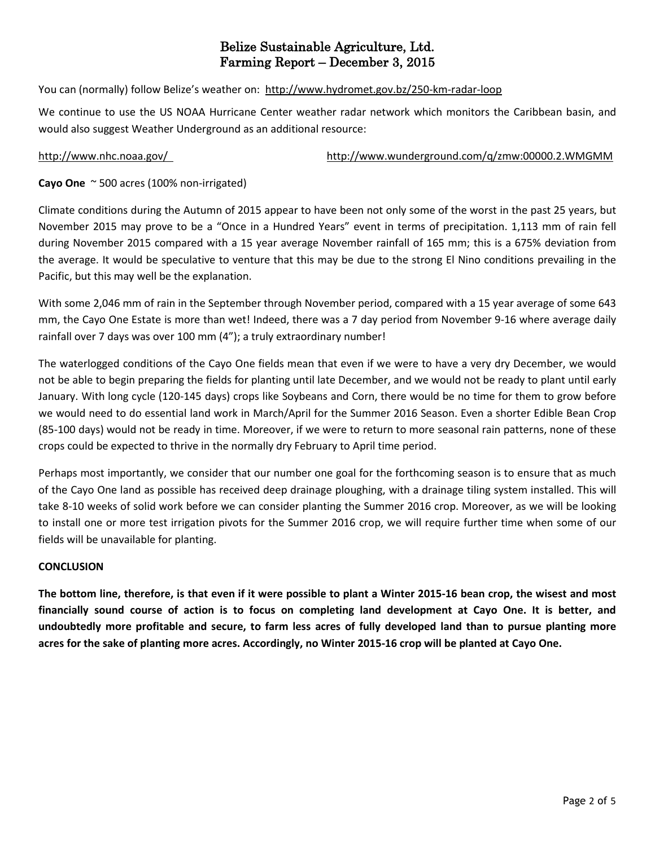# Belize Sustainable Agriculture, Ltd. Farming Report – December 3, 2015

You can (normally) follow Belize's weather on: <http://www.hydromet.gov.bz/250-km-radar-loop>

We continue to use the US NOAA Hurricane Center weather radar network which monitors the Caribbean basin, and would also suggest Weather Underground as an additional resource:

<http://www.nhc.noaa.gov/><http://www.wunderground.com/q/zmw:00000.2.WMGMM>

**Cayo One** ~ 500 acres (100% non-irrigated)

Climate conditions during the Autumn of 2015 appear to have been not only some of the worst in the past 25 years, but November 2015 may prove to be a "Once in a Hundred Years" event in terms of precipitation. 1,113 mm of rain fell during November 2015 compared with a 15 year average November rainfall of 165 mm; this is a 675% deviation from the average. It would be speculative to venture that this may be due to the strong El Nino conditions prevailing in the Pacific, but this may well be the explanation.

With some 2,046 mm of rain in the September through November period, compared with a 15 year average of some 643 mm, the Cayo One Estate is more than wet! Indeed, there was a 7 day period from November 9-16 where average daily rainfall over 7 days was over 100 mm (4"); a truly extraordinary number!

The waterlogged conditions of the Cayo One fields mean that even if we were to have a very dry December, we would not be able to begin preparing the fields for planting until late December, and we would not be ready to plant until early January. With long cycle (120-145 days) crops like Soybeans and Corn, there would be no time for them to grow before we would need to do essential land work in March/April for the Summer 2016 Season. Even a shorter Edible Bean Crop (85-100 days) would not be ready in time. Moreover, if we were to return to more seasonal rain patterns, none of these crops could be expected to thrive in the normally dry February to April time period.

Perhaps most importantly, we consider that our number one goal for the forthcoming season is to ensure that as much of the Cayo One land as possible has received deep drainage ploughing, with a drainage tiling system installed. This will take 8-10 weeks of solid work before we can consider planting the Summer 2016 crop. Moreover, as we will be looking to install one or more test irrigation pivots for the Summer 2016 crop, we will require further time when some of our fields will be unavailable for planting.

## **CONCLUSION**

The bottom line, therefore, is that even if it were possible to plant a Winter 2015-16 bean crop, the wisest and most financially sound course of action is to focus on completing land development at Cayo One. It is better, and undoubtedly more profitable and secure, to farm less acres of fully developed land than to pursue planting more acres for the sake of planting more acres. Accordingly, no Winter 2015-16 crop will be planted at Cayo One.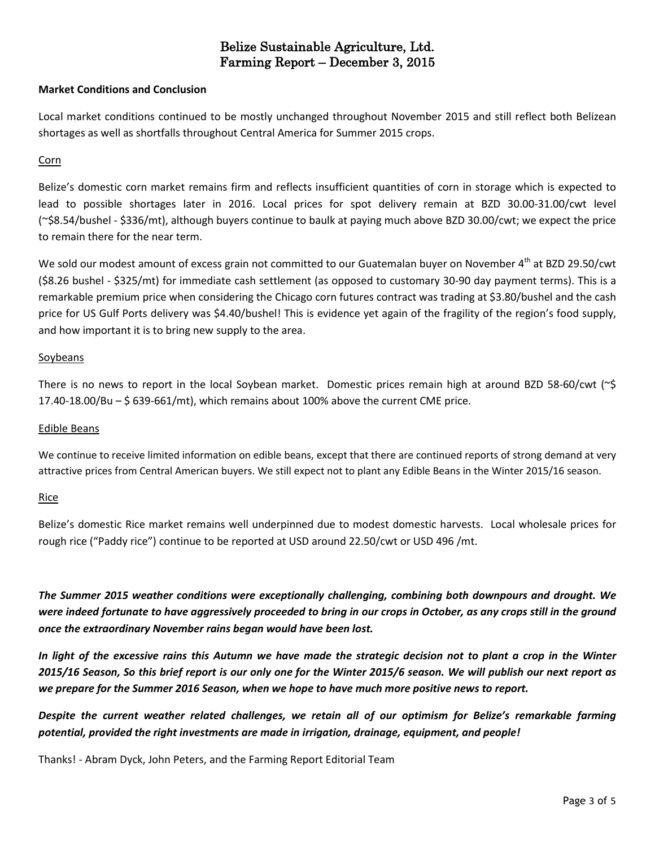# Belize Sustainable Agriculture, Ltd. Farming Report – December 3, 2015

## **Market Conditions and Conclusion**

Local market conditions continued to be mostly unchanged throughout November 2015 and still reflect both Belizean shortages as well as shortfalls throughout Central America for Summer 2015 crops.

### Corn

Belize's domestic corn market remains firm and reflects insufficient quantities of corn in storage which is expected to lead to possible shortages later in 2016. Local prices for spot delivery remain at BZD 30.00-31.00/cwt level (~\$8.54/bushel - \$336/mt), although buyers continue to baulk at paying much above BZD 30.00/cwt; we expect the price to remain there for the near term.

We sold our modest amount of excess grain not committed to our Guatemalan buyer on November 4<sup>th</sup> at BZD 29.50/cwt (\$8.26 bushel - \$325/mt) for immediate cash settlement (as opposed to customary 30-90 day payment terms). This is a remarkable premium price when considering the Chicago corn futures contract was trading at \$3.80/bushel and the cash price for US Gulf Ports delivery was \$4.40/bushel! This is evidence yet again of the fragility of the region's food supply, and how important it is to bring new supply to the area.

## Soybeans

There is no news to report in the local Soybean market. Domestic prices remain high at around BZD 58-60/cwt (~\$  $17.40-18.00/Bu - $639-661(mt)$ , which remains about 100% above the current CME price.

### Edible Beans

We continue to receive limited information on edible beans, except that there are continued reports of strong demand at very attractive prices from Central American buyers. We still expect not to plant any Edible Beans in the Winter 2015/16 season.

#### Rice

Belize's domestic Rice market remains well underpinned due to modest domestic harvests. Local wholesale prices for rough rice ("Paddy rice") continue to be reported at USD around 22.50/cwt or USD 496 /mt.

*The Summer 2015 weather conditions were exceptionally challenging, combining both downpours and drought. We* were indeed fortunate to have aggressively proceeded to bring in our crops in October, as any crops still in the ground *once the extraordinary November rains began would have been lost.*

In light of the excessive rains this Autumn we have made the strategic decision not to plant a crop in the Winter 2015/16 Season, So this brief report is our only one for the Winter 2015/6 season. We will publish our next report as *we prepare for the Summer 2016 Season, when we hope to have much more positive news to report.*

*Despite the current weather related challenges, we retain all of our optimism for Belize's remarkable farming potential, provided the right investments are made in irrigation, drainage, equipment, and people!*

Thanks! - Abram Dyck, John Peters, and the Farming Report Editorial Team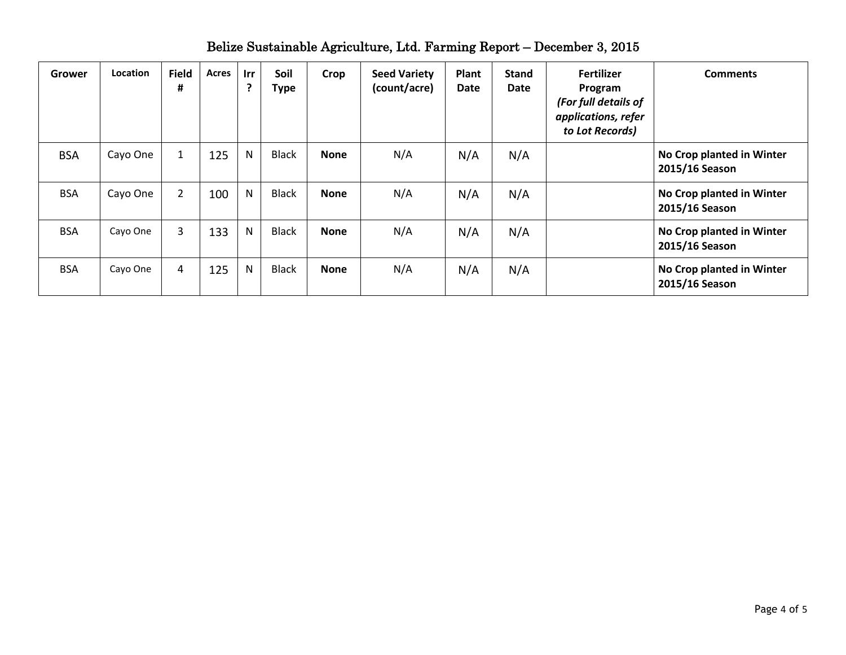| Grower     | Location | <b>Field</b><br># | Acres | Irr<br>?     | Soil<br><b>Type</b> | Crop        | <b>Seed Variety</b><br>(count/acre) | Plant<br><b>Date</b> | <b>Stand</b><br>Date | <b>Fertilizer</b><br>Program<br>(For full details of<br>applications, refer<br>to Lot Records) | <b>Comments</b>                             |
|------------|----------|-------------------|-------|--------------|---------------------|-------------|-------------------------------------|----------------------|----------------------|------------------------------------------------------------------------------------------------|---------------------------------------------|
| <b>BSA</b> | Cayo One | 1                 | 125   | N            | <b>Black</b>        | <b>None</b> | N/A                                 | N/A                  | N/A                  |                                                                                                | No Crop planted in Winter<br>2015/16 Season |
| <b>BSA</b> | Cayo One | $\overline{2}$    | 100   | N            | <b>Black</b>        | <b>None</b> | N/A                                 | N/A                  | N/A                  |                                                                                                | No Crop planted in Winter<br>2015/16 Season |
| <b>BSA</b> | Cayo One | 3                 | 133   | $\mathsf{N}$ | <b>Black</b>        | <b>None</b> | N/A                                 | N/A                  | N/A                  |                                                                                                | No Crop planted in Winter<br>2015/16 Season |
| <b>BSA</b> | Cayo One | 4                 | 125   | $\mathsf{N}$ | <b>Black</b>        | <b>None</b> | N/A                                 | N/A                  | N/A                  |                                                                                                | No Crop planted in Winter<br>2015/16 Season |